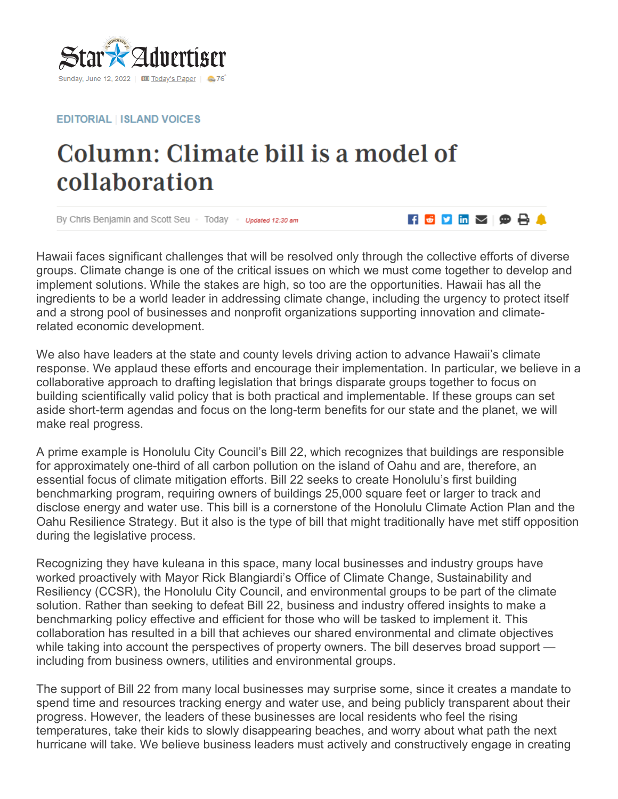

**EDITORIAL LISLAND VOICES** 

## Column: Climate bill is a model of collaboration

By Chris Benjamin and Scott Seu - Today - Updated 12:30 am

Hawaii faces significant challenges that will be resolved only through the collective efforts of diverse groups. Climate change is one of the critical issues on which we must come together to develop and implement solutions. While the stakes are high, so too are the opportunities. Hawaii has all the ingredients to be a world leader in addressing climate change, including the urgency to protect itself and a strong pool of businesses and nonprofit organizations supporting innovation and climaterelated economic development.

 $\blacksquare$   $\blacksquare$   $\blacksquare$   $\blacksquare$   $\blacksquare$   $\blacksquare$   $\blacksquare$   $\blacksquare$   $\blacksquare$ 

We also have leaders at the state and county levels driving action to advance Hawaii's climate response. We applaud these efforts and encourage their implementation. In particular, we believe in a collaborative approach to drafting legislation that brings disparate groups together to focus on building scientifically valid policy that is both practical and implementable. If these groups can set aside short-term agendas and focus on the long-term benefits for our state and the planet, we will make real progress.

A prime example is Honolulu City Council's Bill 22, which recognizes that buildings are responsible for approximately one-third of all carbon pollution on the island of Oahu and are, therefore, an essential focus of climate mitigation efforts. Bill 22 seeks to create Honolulu's first building benchmarking program, requiring owners of buildings 25,000 square feet or larger to track and disclose energy and water use. This bill is a cornerstone of the Honolulu Climate Action Plan and the Oahu Resilience Strategy. But it also is the type of bill that might traditionally have met stiff opposition during the legislative process.

Recognizing they have kuleana in this space, many local businesses and industry groups have worked proactively with Mayor Rick Blangiardi's Office of Climate Change, Sustainability and Resiliency (CCSR), the Honolulu City Council, and environmental groups to be part of the climate solution. Rather than seeking to defeat Bill 22, business and industry offered insights to make a benchmarking policy effective and efficient for those who will be tasked to implement it. This collaboration has resulted in a bill that achieves our shared environmental and climate objectives while taking into account the perspectives of property owners. The bill deserves broad support including from business owners, utilities and environmental groups.

The support of Bill 22 from many local businesses may surprise some, since it creates a mandate to spend time and resources tracking energy and water use, and being publicly transparent about their progress. However, the leaders of these businesses are local residents who feel the rising temperatures, take their kids to slowly disappearing beaches, and worry about what path the next hurricane will take. We believe business leaders must actively and constructively engage in creating